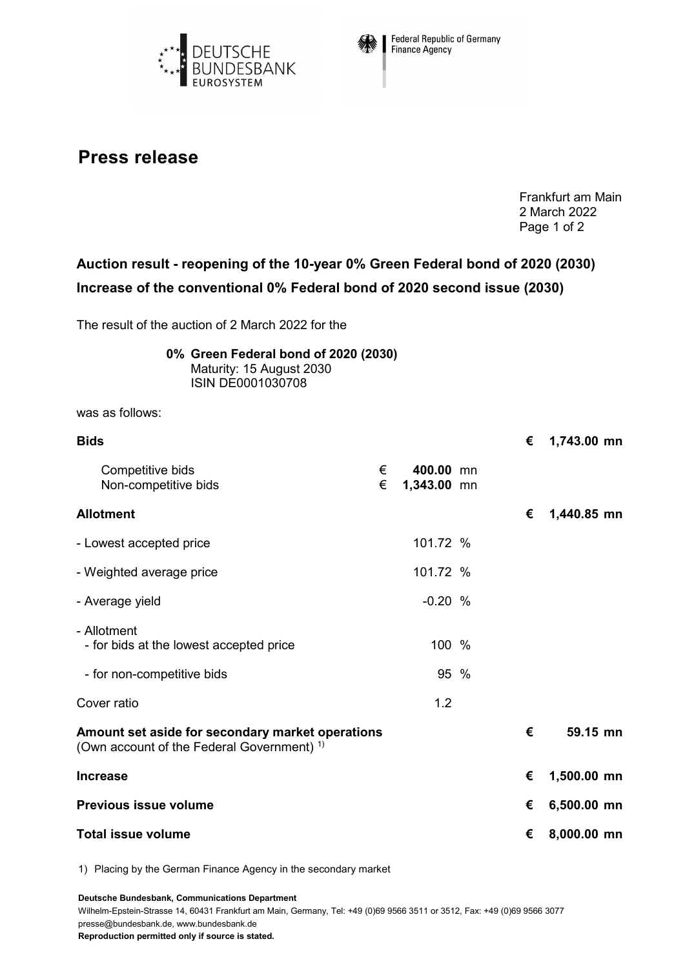



**Federal Republic of Germany** Finance Agency

## **Press release**

Frankfurt am Main 2 March 2022 Page 1 of 2

## **Auction result - reopening of the 10-year 0% Green Federal bond of 2020 (2030) Increase of the conventional 0% Federal bond of 2020 second issue (2030)**

The result of the auction of 2 March 2022 for the

| 0% Green Federal bond of 2020 (2030) |
|--------------------------------------|
| Maturity: 15 August 2030             |
| <b>ISIN DE0001030708</b>             |

was as follows:

| <b>Bids</b>                                                                                               |        |                          |  |   | 1,743.00 mn |
|-----------------------------------------------------------------------------------------------------------|--------|--------------------------|--|---|-------------|
| Competitive bids<br>Non-competitive bids                                                                  | €<br>€ | 400.00 mn<br>1,343.00 mn |  |   |             |
| <b>Allotment</b>                                                                                          |        |                          |  | € | 1,440.85 mn |
| - Lowest accepted price                                                                                   |        | 101.72 %                 |  |   |             |
| - Weighted average price                                                                                  |        | 101.72 %                 |  |   |             |
| - Average yield                                                                                           |        | $-0.20%$                 |  |   |             |
| - Allotment<br>- for bids at the lowest accepted price                                                    |        | 100 %                    |  |   |             |
| - for non-competitive bids                                                                                |        | 95 %                     |  |   |             |
| Cover ratio                                                                                               |        | 1.2                      |  |   |             |
| Amount set aside for secondary market operations<br>(Own account of the Federal Government) <sup>1)</sup> |        |                          |  | € | 59.15 mn    |
| <b>Increase</b>                                                                                           |        |                          |  | € | 1,500.00 mn |
| <b>Previous issue volume</b>                                                                              |        |                          |  | € | 6,500.00 mn |
| <b>Total issue volume</b>                                                                                 |        |                          |  |   | 8,000.00 mn |

1) Placing by the German Finance Agency in the secondary market

**Deutsche Bundesbank, Communications Department**

Wilhelm-Epstein-Strasse 14, 60431 Frankfurt am Main, Germany, Tel: +49 (0)69 9566 3511 or 3512, Fax: +49 (0)69 9566 3077 presse@bundesbank.de, www.bundesbank.de

**Reproduction permitted only if source is stated.**